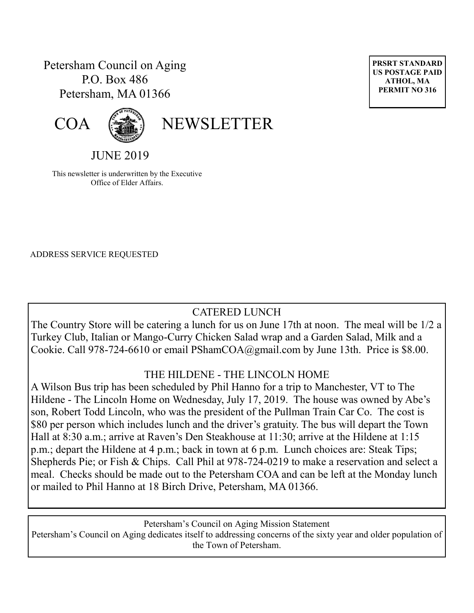# Petersham Council on Aging P.O. Box 486 Petersham, MA 01366





# COA (<a>
<a>
<a>
NEWSLETTER

JUNE 2019

This newsletter is underwritten by the Executive Office of Elder Affairs.

ADDRESS SERVICE REQUESTED

# CATERED LUNCH

The Country Store will be catering a lunch for us on June 17th at noon. The meal will be 1/2 a Turkey Club, Italian or Mango-Curry Chicken Salad wrap and a Garden Salad, Milk and a Cookie. Call 978-724-6610 or email PShamCOA@gmail.com by June 13th. Price is \$8.00.

#### THE HILDENE - THE LINCOLN HOME

A Wilson Bus trip has been scheduled by Phil Hanno for a trip to Manchester, VT to The Hildene - The Lincoln Home on Wednesday, July 17, 2019. The house was owned by Abe's son, Robert Todd Lincoln, who was the president of the Pullman Train Car Co. The cost is \$80 per person which includes lunch and the driver's gratuity. The bus will depart the Town Hall at 8:30 a.m.; arrive at Raven's Den Steakhouse at 11:30; arrive at the Hildene at 1:15 p.m.; depart the Hildene at 4 p.m.; back in town at 6 p.m. Lunch choices are: Steak Tips; Shepherds Pie; or Fish & Chips. Call Phil at 978-724-0219 to make a reservation and select a meal. Checks should be made out to the Petersham COA and can be left at the Monday lunch or mailed to Phil Hanno at 18 Birch Drive, Petersham, MA 01366.

Petersham's Council on Aging Mission Statement Petersham's Council on Aging dedicates itself to addressing concerns of the sixty year and older population of the Town of Petersham.

**PRSRT STANDARD US POSTAGE PAID ATHOL, MA PERMIT NO 316**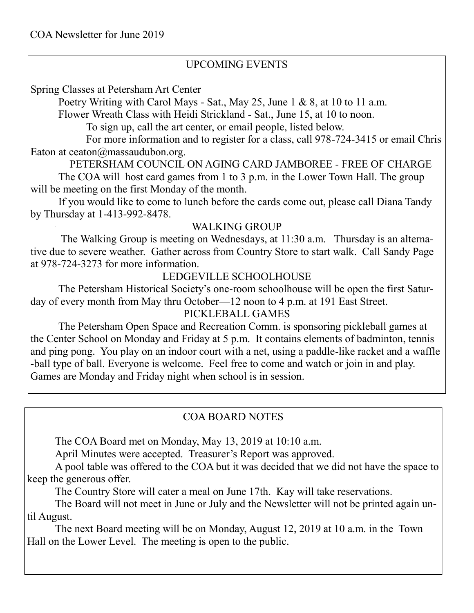## UPCOMING EVENTS

Spring Classes at Petersham Art Center

Poetry Writing with Carol Mays - Sat., May 25, June 1 & 8, at 10 to 11 a.m.

Flower Wreath Class with Heidi Strickland - Sat., June 15, at 10 to noon.

To sign up, call the art center, or email people, listed below.

For more information and to register for a class, call 978-724-3415 or email Chris Eaton at ceaton $\omega$ massaudubon.org.

PETERSHAM COUNCIL ON AGING CARD JAMBOREE - FREE OF CHARGE

The COA will host card games from 1 to 3 p.m. in the Lower Town Hall. The group will be meeting on the first Monday of the month.

If you would like to come to lunch before the cards come out, please call Diana Tandy by Thursday at 1-413-992-8478.

#### WALKING GROUP

The Walking Group is meeting on Wednesdays, at 11:30 a.m. Thursday is an alternative due to severe weather. Gather across from Country Store to start walk. Call Sandy Page at 978-724-3273 for more information.

# LEDGEVILLE SCHOOLHOUSE

The Petersham Historical Society's one-room schoolhouse will be open the first Saturday of every month from May thru October—12 noon to 4 p.m. at 191 East Street.

#### PICKLEBALL GAMES

The Petersham Open Space and Recreation Comm. is sponsoring pickleball games at the Center School on Monday and Friday at 5 p.m. It contains elements of badminton, tennis and ping pong. You play on an indoor court with a net, using a paddle-like racket and a waffle -ball type of ball. Everyone is welcome. Feel free to come and watch or join in and play. Games are Monday and Friday night when school is in session.

# COA BOARD NOTES

The COA Board met on Monday, May 13, 2019 at 10:10 a.m.

April Minutes were accepted. Treasurer's Report was approved.

A pool table was offered to the COA but it was decided that we did not have the space to keep the generous offer.

The Country Store will cater a meal on June 17th. Kay will take reservations.

The Board will not meet in June or July and the Newsletter will not be printed again until August.

The next Board meeting will be on Monday, August 12, 2019 at 10 a.m. in the Town Hall on the Lower Level. The meeting is open to the public.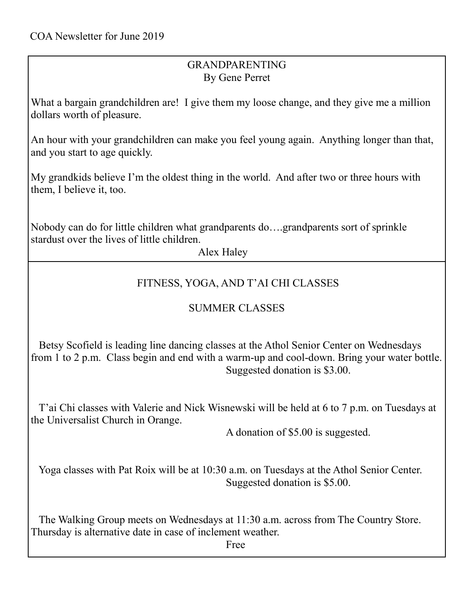# GRANDPARENTING By Gene Perret

What a bargain grandchildren are! I give them my loose change, and they give me a million dollars worth of pleasure.

An hour with your grandchildren can make you feel young again. Anything longer than that, and you start to age quickly.

My grandkids believe I'm the oldest thing in the world. And after two or three hours with them, I believe it, too.

Nobody can do for little children what grandparents do….grandparents sort of sprinkle stardust over the lives of little children.

Alex Haley

## FITNESS, YOGA, AND T'AI CHI CLASSES

# SUMMER CLASSES

 Betsy Scofield is leading line dancing classes at the Athol Senior Center on Wednesdays from 1 to 2 p.m. Class begin and end with a warm-up and cool-down. Bring your water bottle. Suggested donation is \$3.00.

 T'ai Chi classes with Valerie and Nick Wisnewski will be held at 6 to 7 p.m. on Tuesdays at the Universalist Church in Orange.

A donation of \$5.00 is suggested.

 Yoga classes with Pat Roix will be at 10:30 a.m. on Tuesdays at the Athol Senior Center. Suggested donation is \$5.00.

 The Walking Group meets on Wednesdays at 11:30 a.m. across from The Country Store. Thursday is alternative date in case of inclement weather.

Free